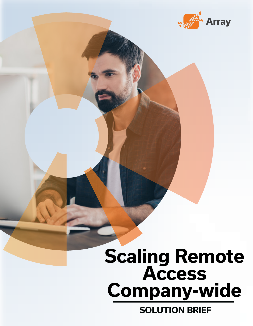

# **Scaling Remote Access Company-wide**

**SOLUTION BRIEF**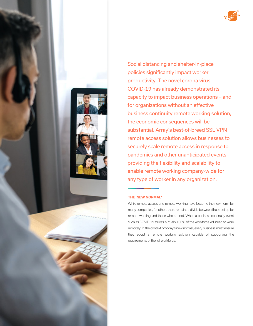



Social distancing and shelter-in-place policies significantly impact worker productivity. The novel corona virus COVID-19 has already demonstrated its capacity to impact business operations – and for organizations without an effective business continuity remote working solution, the economic consequences will be substantial. Array's best-of-breed SSL VPN remote access solution allows businesses to securely scale remote access in response to pandemics and other unanticipated events, providing the flexibility and scalability to enable remote working company-wide for any type of worker in any organization.

#### **THE 'NEW NORMAL'**

While remote access and remote working have become the new norm for many companies, for others there remains a divide between those set up for remote working and those who are not. When a business continuity event such as COVID-19 strikes, virtually 100% of the workforce will need to work remotely. In the context of today's new normal, every business must ensure they adopt a remote working solution capable of supporting the requirements of the full workforce.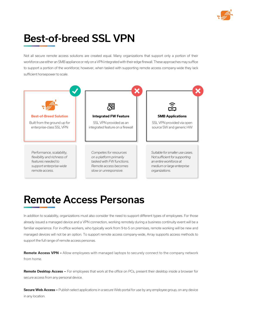

## Best-of-breed SSL VPN

Not all secure remote access solutions are created equal. Many organizations that support only a portion of their workforce use either an SMB appliance or rely on a VPN integrated with their edge firewall. These approaches may suffice to support a portion of the workforce; however, when tasked with supporting remote access company-wide they lack sufficient horsepower to scale.



#### Remote Access Personas

In addition to scalability, organizations must also consider the need to support different types of employees. For those already issued a managed device and a VPN connection, working remotely during a business continuity event will be a familiar experience. For in-office workers, who typically work from 9-to-5 on premises, remote working will be new and managed devices will not be an option. To support remote access company-wide, Array supports access methods to support the full range of remote access personas.

**Remote Access VPN –** Allow employees with managed laptops to securely connect to the company network from home.

**Remote Desktop Access –** For employees that work at the office on PCs, present their desktop inside a browser for secure access from any personal device.

**Secure Web Access –** Publish select applications in a secure Web portal for use by any employee group, on any device in any location.